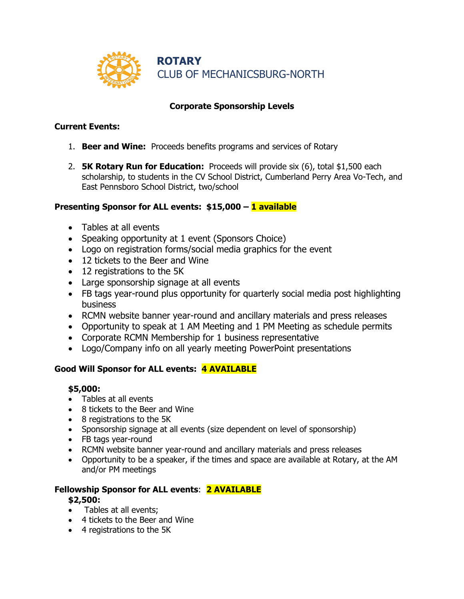

## **Corporate Sponsorship Levels**

### **Current Events:**

- 1. **Beer and Wine:** Proceeds benefits programs and services of Rotary
- 2. **5K Rotary Run for Education:** Proceeds will provide six (6), total \$1,500 each scholarship, to students in the CV School District, Cumberland Perry Area Vo-Tech, and East Pennsboro School District, two/school

### **Presenting Sponsor for ALL events: \$15,000 – 1 available**

- Tables at all events
- Speaking opportunity at 1 event (Sponsors Choice)
- Logo on registration forms/social media graphics for the event
- 12 tickets to the Beer and Wine
- 12 registrations to the 5K
- Large sponsorship signage at all events
- FB tags year-round plus opportunity for quarterly social media post highlighting business
- RCMN website banner year-round and ancillary materials and press releases
- Opportunity to speak at 1 AM Meeting and 1 PM Meeting as schedule permits
- Corporate RCMN Membership for 1 business representative
- Logo/Company info on all yearly meeting PowerPoint presentations

### **Good Will Sponsor for ALL events: 4 AVAILABLE**

### **\$5,000:**

- Tables at all events
- 8 tickets to the Beer and Wine
- 8 registrations to the 5K
- Sponsorship signage at all events (size dependent on level of sponsorship)
- FB tags year-round
- RCMN website banner year-round and ancillary materials and press releases
- Opportunity to be a speaker, if the times and space are available at Rotary, at the AM and/or PM meetings

# **Fellowship Sponsor for ALL events**: **2 AVAILABLE**

### **\$2,500:**

- Tables at all events;
- 4 tickets to the Beer and Wine
- 4 registrations to the 5K